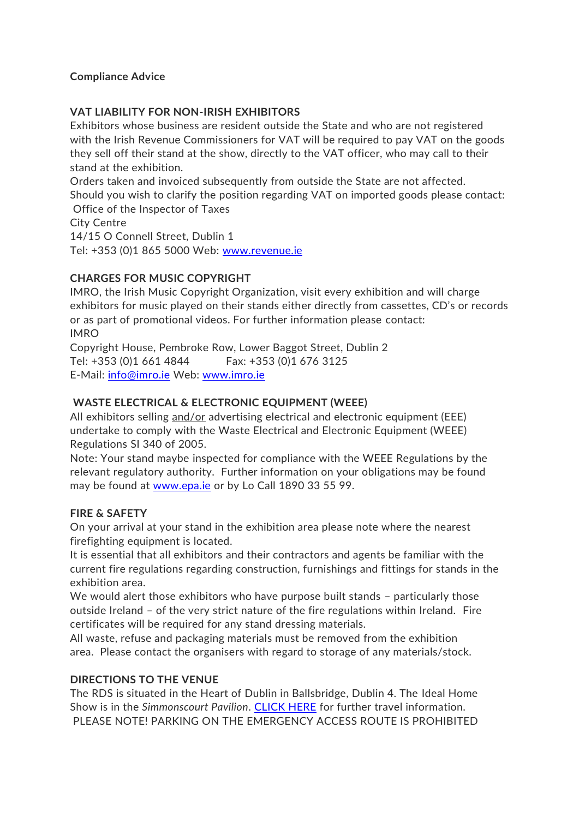#### **Compliance Advice**

### **VAT LIABILITY FOR NON-IRISH EXHIBITORS**

Exhibitors whose business are resident outside the State and who are not registered with the Irish Revenue Commissioners for VAT will be required to pay VAT on the goods they sell off their stand at the show, directly to the VAT officer, who may call to their stand at the exhibition.

Orders taken and invoiced subsequently from outside the State are not affected. Should you wish to clarify the position regarding VAT on imported goods please contact: Office of the Inspector of Taxes City Centre

14/15 O Connell Street, Dublin 1 Tel: +353 (0)1 865 5000 Web: [www.revenue.ie](http://www.revenue.ie/)

### **CHARGES FOR MUSIC COPYRIGHT**

IMRO, the Irish Music Copyright Organization, visit every exhibition and will charge exhibitors for music played on their stands either directly from cassettes, CD's or records or as part of promotional videos. For further information please contact: IMRO

Copyright House, Pembroke Row, Lower Baggot Street, Dublin 2 Tel: +353 (0)1 661 4844 Fax: +353 (0)1 676 3125 E-Mail: [info@imro.ie](mailto:info@imro.ie) Web: [www.imro.ie](http://www.imro.ie/)

## **WASTE ELECTRICAL & ELECTRONIC EQUIPMENT (WEEE)**

All exhibitors selling and/or advertising electrical and electronic equipment (EEE) undertake to comply with the Waste Electrical and Electronic Equipment (WEEE) Regulations SI 340 of 2005.

Note: Your stand maybe inspected for compliance with the WEEE Regulations by the relevant regulatory authority. Further information on your obligations may be found may be found at [www.epa.ie](http://www.epa.ie/) or by Lo Call 1890 33 55 99.

### **FIRE & SAFETY**

On your arrival at your stand in the exhibition area please note where the nearest firefighting equipment is located.

It is essential that all exhibitors and their contractors and agents be familiar with the current fire regulations regarding construction, furnishings and fittings for stands in the exhibition area.

We would alert those exhibitors who have purpose built stands - particularly those outside Ireland – of the very strict nature of the fire regulations within Ireland. Fire certificates will be required for any stand dressing materials.

All waste, refuse and packaging materials must be removed from the exhibition area. Please contact the organisers with regard to storage of any materials/stock.

### **DIRECTIONS TO THE VENUE**

The RDS is situated in the Heart of Dublin in Ballsbridge, Dublin 4. The Ideal Home Show is in the *Simmonscourt Pavilion*. [CLICK HERE](https://www.idealhome.ie/venue-travel/) for further travel information. PLEASE NOTE! PARKING ON THE EMERGENCY ACCESS ROUTE IS PROHIBITED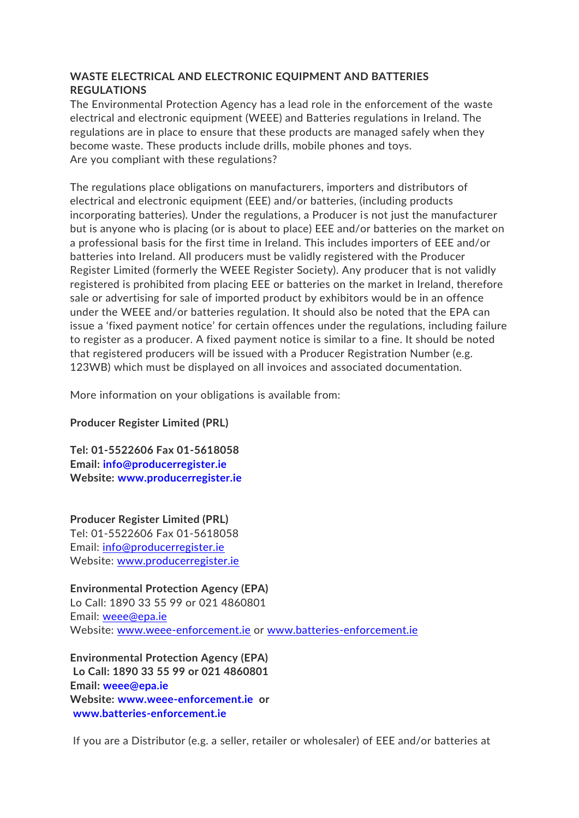# **WASTE ELECTRICAL AND ELECTRONIC EQUIPMENT AND BATTERIES REGULATIONS**

The Environmental Protection Agency has a lead role in the enforcement of the waste electrical and electronic equipment (WEEE) and Batteries regulations in Ireland. The regulations are in place to ensure that these products are managed safely when they become waste. These products include drills, mobile phones and toys. Are you compliant with these regulations?

The regulations place obligations on manufacturers, importers and distributors of electrical and electronic equipment (EEE) and/or batteries, (including products incorporating batteries). Under the regulations, a Producer is not just the manufacturer but is anyone who is placing (or is about to place) EEE and/or batteries on the market on a professional basis for the first time in Ireland. This includes importers of EEE and/or batteries into Ireland. All producers must be validly registered with the Producer Register Limited (formerly the WEEE Register Society). Any producer that is not validly registered is prohibited from placing EEE or batteries on the market in Ireland, therefore sale or advertising for sale of imported product by exhibitors would be in an offence under the WEEE and/or batteries regulation. It should also be noted that the EPA can issue a 'fixed payment notice' for certain offences under the regulations, including failure to register as a producer. A fixed payment notice is similar to a fine. It should be noted that registered producers will be issued with a Producer Registration Number (e.g. 123WB) which must be displayed on all invoices and associated documentation.

More information on your obligations is available from:

### **Producer Register Limited (PRL)**

**Tel: 01-5522606 Fax 01-5618058 Email: [info@producerregister.ie](mailto:info@producerregister.ie) Website: [www.producerregister.ie](http://www.producerregister.ie/)**

**Producer Register Limited (PRL)** Tel: 01-5522606 Fax 01-5618058 Email: [info@producerregister.ie](mailto:info@producerregister.ie) Website: [www.producerregister.ie](http://www.producerregister.ie/)

**Environmental Protection Agency (EPA)** Lo Call: 1890 33 55 99 or 021 4860801 Email: [weee@epa.ie](mailto:weee@epa.ie) Website: [www.weee-enforcement.ie](http://www.weee-enforcement.ie/) or [www.batteries-enforcement.ie](http://www.batteries-enforcement.ie/)

**Environmental Protection Agency (EPA) Lo Call: 1890 33 55 99 or 021 4860801 Email: [weee@epa.ie](mailto:weee@epa.ie) Website: [www.weee-enforcement.ie](http://www.weee-enforcement.ie/) or [www.batteries-enforcement.ie](http://www.batteries-enforcement.ie/)**

If you are a Distributor (e.g. a seller, retailer or wholesaler) of EEE and/or batteries at